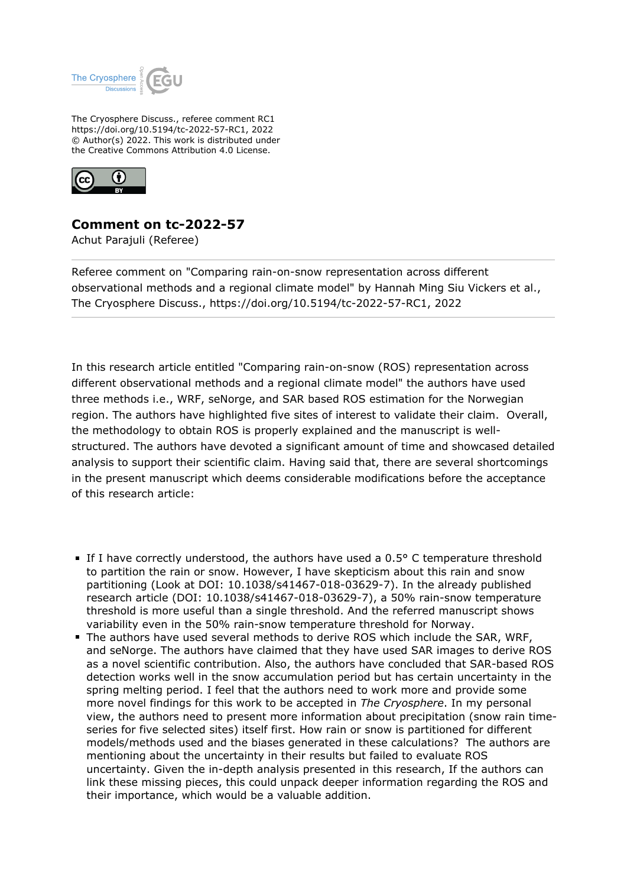

The Cryosphere Discuss., referee comment RC1 https://doi.org/10.5194/tc-2022-57-RC1, 2022 © Author(s) 2022. This work is distributed under the Creative Commons Attribution 4.0 License.



## **Comment on tc-2022-57**

Achut Parajuli (Referee)

Referee comment on "Comparing rain-on-snow representation across different observational methods and a regional climate model" by Hannah Ming Siu Vickers et al., The Cryosphere Discuss., https://doi.org/10.5194/tc-2022-57-RC1, 2022

In this research article entitled "Comparing rain-on-snow (ROS) representation across different observational methods and a regional climate model" the authors have used three methods i.e., WRF, seNorge, and SAR based ROS estimation for the Norwegian region. The authors have highlighted five sites of interest to validate their claim. Overall, the methodology to obtain ROS is properly explained and the manuscript is wellstructured. The authors have devoted a significant amount of time and showcased detailed analysis to support their scientific claim. Having said that, there are several shortcomings in the present manuscript which deems considerable modifications before the acceptance of this research article:

- If I have correctly understood, the authors have used a  $0.5^{\circ}$  C temperature threshold to partition the rain or snow. However, I have skepticism about this rain and snow partitioning (Look at DOI: 10.1038/s41467-018-03629-7). In the already published research article (DOI: 10.1038/s41467-018-03629-7), a 50% rain-snow temperature threshold is more useful than a single threshold. And the referred manuscript shows variability even in the 50% rain-snow temperature threshold for Norway.
- The authors have used several methods to derive ROS which include the SAR, WRF, and seNorge. The authors have claimed that they have used SAR images to derive ROS as a novel scientific contribution. Also, the authors have concluded that SAR-based ROS detection works well in the snow accumulation period but has certain uncertainty in the spring melting period. I feel that the authors need to work more and provide some more novel findings for this work to be accepted in *The Cryosphere*. In my personal view, the authors need to present more information about precipitation (snow rain timeseries for five selected sites) itself first. How rain or snow is partitioned for different models/methods used and the biases generated in these calculations? The authors are mentioning about the uncertainty in their results but failed to evaluate ROS uncertainty. Given the in-depth analysis presented in this research, If the authors can link these missing pieces, this could unpack deeper information regarding the ROS and their importance, which would be a valuable addition.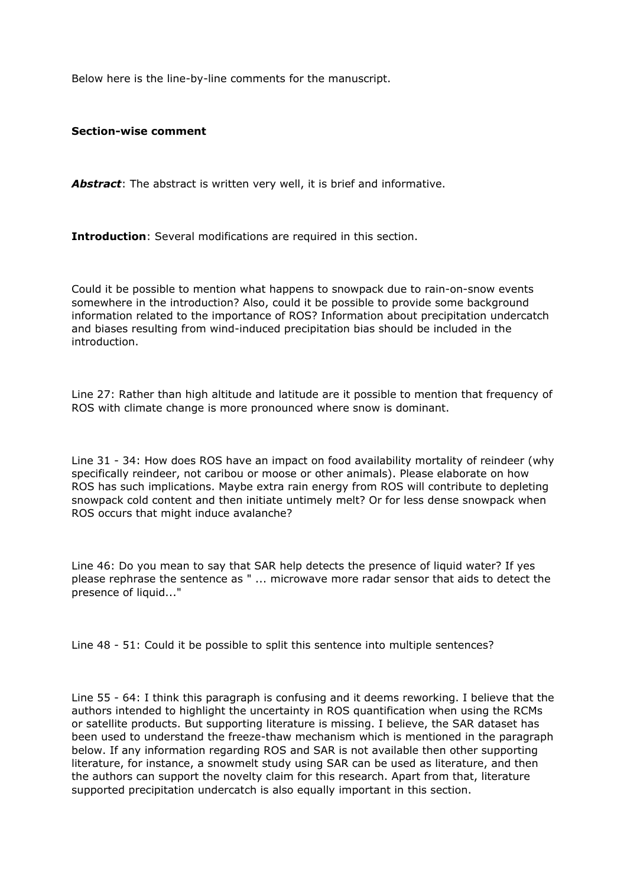Below here is the line-by-line comments for the manuscript.

**Section-wise comment** 

*Abstract*: The abstract is written very well, it is brief and informative.

**Introduction:** Several modifications are required in this section.

Could it be possible to mention what happens to snowpack due to rain-on-snow events somewhere in the introduction? Also, could it be possible to provide some background information related to the importance of ROS? Information about precipitation undercatch and biases resulting from wind-induced precipitation bias should be included in the introduction.

Line 27: Rather than high altitude and latitude are it possible to mention that frequency of ROS with climate change is more pronounced where snow is dominant.

Line 31 - 34: How does ROS have an impact on food availability mortality of reindeer (why specifically reindeer, not caribou or moose or other animals). Please elaborate on how ROS has such implications. Maybe extra rain energy from ROS will contribute to depleting snowpack cold content and then initiate untimely melt? Or for less dense snowpack when ROS occurs that might induce avalanche?

Line 46: Do you mean to say that SAR help detects the presence of liquid water? If yes please rephrase the sentence as " ... microwave more radar sensor that aids to detect the presence of liquid..."

Line 48 - 51: Could it be possible to split this sentence into multiple sentences?

Line 55 - 64: I think this paragraph is confusing and it deems reworking. I believe that the authors intended to highlight the uncertainty in ROS quantification when using the RCMs or satellite products. But supporting literature is missing. I believe, the SAR dataset has been used to understand the freeze-thaw mechanism which is mentioned in the paragraph below. If any information regarding ROS and SAR is not available then other supporting literature, for instance, a snowmelt study using SAR can be used as literature, and then the authors can support the novelty claim for this research. Apart from that, literature supported precipitation undercatch is also equally important in this section.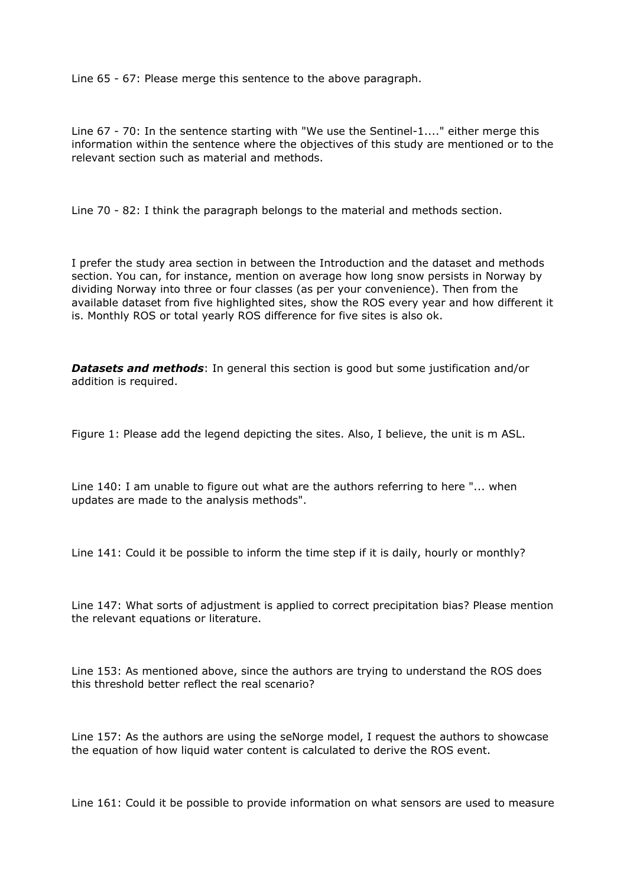Line 65 - 67: Please merge this sentence to the above paragraph.

Line 67 - 70: In the sentence starting with "We use the Sentinel-1...." either merge this information within the sentence where the objectives of this study are mentioned or to the relevant section such as material and methods.

Line 70 - 82: I think the paragraph belongs to the material and methods section.

I prefer the study area section in between the Introduction and the dataset and methods section. You can, for instance, mention on average how long snow persists in Norway by dividing Norway into three or four classes (as per your convenience). Then from the available dataset from five highlighted sites, show the ROS every year and how different it is. Monthly ROS or total yearly ROS difference for five sites is also ok.

*Datasets and methods*: In general this section is good but some justification and/or addition is required.

Figure 1: Please add the legend depicting the sites. Also, I believe, the unit is m ASL.

Line 140: I am unable to figure out what are the authors referring to here "... when updates are made to the analysis methods".

Line 141: Could it be possible to inform the time step if it is daily, hourly or monthly?

Line 147: What sorts of adjustment is applied to correct precipitation bias? Please mention the relevant equations or literature.

Line 153: As mentioned above, since the authors are trying to understand the ROS does this threshold better reflect the real scenario?

Line 157: As the authors are using the seNorge model, I request the authors to showcase the equation of how liquid water content is calculated to derive the ROS event.

Line 161: Could it be possible to provide information on what sensors are used to measure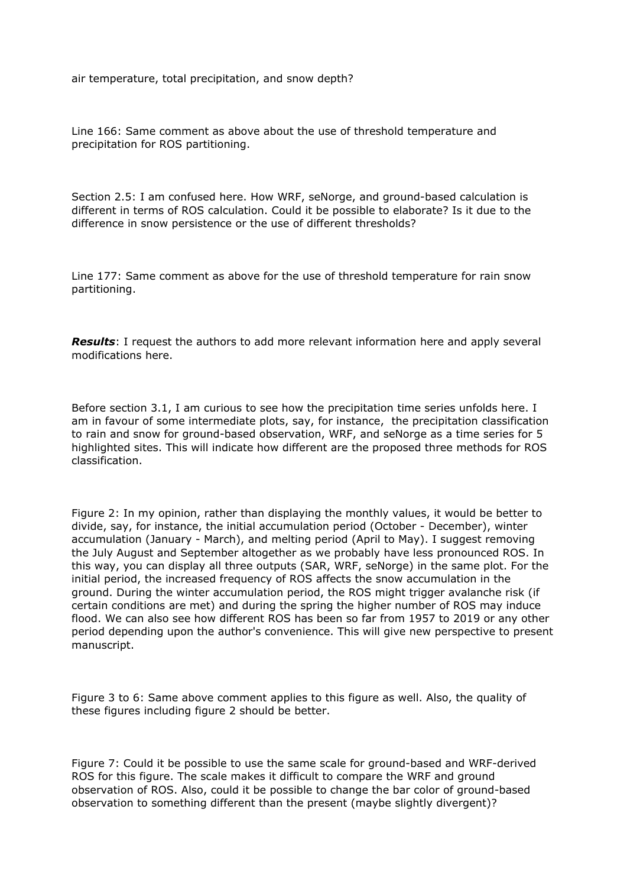air temperature, total precipitation, and snow depth?

Line 166: Same comment as above about the use of threshold temperature and precipitation for ROS partitioning.

Section 2.5: I am confused here. How WRF, seNorge, and ground-based calculation is different in terms of ROS calculation. Could it be possible to elaborate? Is it due to the difference in snow persistence or the use of different thresholds?

Line 177: Same comment as above for the use of threshold temperature for rain snow partitioning.

*Results*: I request the authors to add more relevant information here and apply several modifications here.

Before section 3.1, I am curious to see how the precipitation time series unfolds here. I am in favour of some intermediate plots, say, for instance, the precipitation classification to rain and snow for ground-based observation, WRF, and seNorge as a time series for 5 highlighted sites. This will indicate how different are the proposed three methods for ROS classification.

Figure 2: In my opinion, rather than displaying the monthly values, it would be better to divide, say, for instance, the initial accumulation period (October - December), winter accumulation (January - March), and melting period (April to May). I suggest removing the July August and September altogether as we probably have less pronounced ROS. In this way, you can display all three outputs (SAR, WRF, seNorge) in the same plot. For the initial period, the increased frequency of ROS affects the snow accumulation in the ground. During the winter accumulation period, the ROS might trigger avalanche risk (if certain conditions are met) and during the spring the higher number of ROS may induce flood. We can also see how different ROS has been so far from 1957 to 2019 or any other period depending upon the author's convenience. This will give new perspective to present manuscript.

Figure 3 to 6: Same above comment applies to this figure as well. Also, the quality of these figures including figure 2 should be better.

Figure 7: Could it be possible to use the same scale for ground-based and WRF-derived ROS for this figure. The scale makes it difficult to compare the WRF and ground observation of ROS. Also, could it be possible to change the bar color of ground-based observation to something different than the present (maybe slightly divergent)?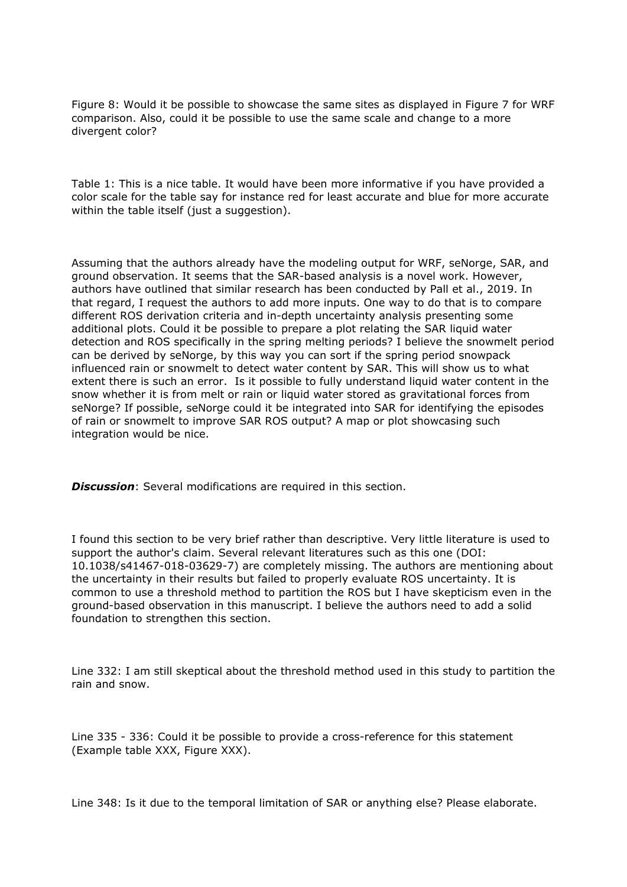Figure 8: Would it be possible to showcase the same sites as displayed in Figure 7 for WRF comparison. Also, could it be possible to use the same scale and change to a more divergent color?

Table 1: This is a nice table. It would have been more informative if you have provided a color scale for the table say for instance red for least accurate and blue for more accurate within the table itself (just a suggestion).

Assuming that the authors already have the modeling output for WRF, seNorge, SAR, and ground observation. It seems that the SAR-based analysis is a novel work. However, authors have outlined that similar research has been conducted by Pall et al., 2019. In that regard, I request the authors to add more inputs. One way to do that is to compare different ROS derivation criteria and in-depth uncertainty analysis presenting some additional plots. Could it be possible to prepare a plot relating the SAR liquid water detection and ROS specifically in the spring melting periods? I believe the snowmelt period can be derived by seNorge, by this way you can sort if the spring period snowpack influenced rain or snowmelt to detect water content by SAR. This will show us to what extent there is such an error. Is it possible to fully understand liquid water content in the snow whether it is from melt or rain or liquid water stored as gravitational forces from seNorge? If possible, seNorge could it be integrated into SAR for identifying the episodes of rain or snowmelt to improve SAR ROS output? A map or plot showcasing such integration would be nice.

*Discussion*: Several modifications are required in this section.

I found this section to be very brief rather than descriptive. Very little literature is used to support the author's claim. Several relevant literatures such as this one (DOI: 10.1038/s41467-018-03629-7) are completely missing. The authors are mentioning about the uncertainty in their results but failed to properly evaluate ROS uncertainty. It is common to use a threshold method to partition the ROS but I have skepticism even in the ground-based observation in this manuscript. I believe the authors need to add a solid foundation to strengthen this section.

Line 332: I am still skeptical about the threshold method used in this study to partition the rain and snow.

Line 335 - 336: Could it be possible to provide a cross-reference for this statement (Example table XXX, Figure XXX).

Line 348: Is it due to the temporal limitation of SAR or anything else? Please elaborate.